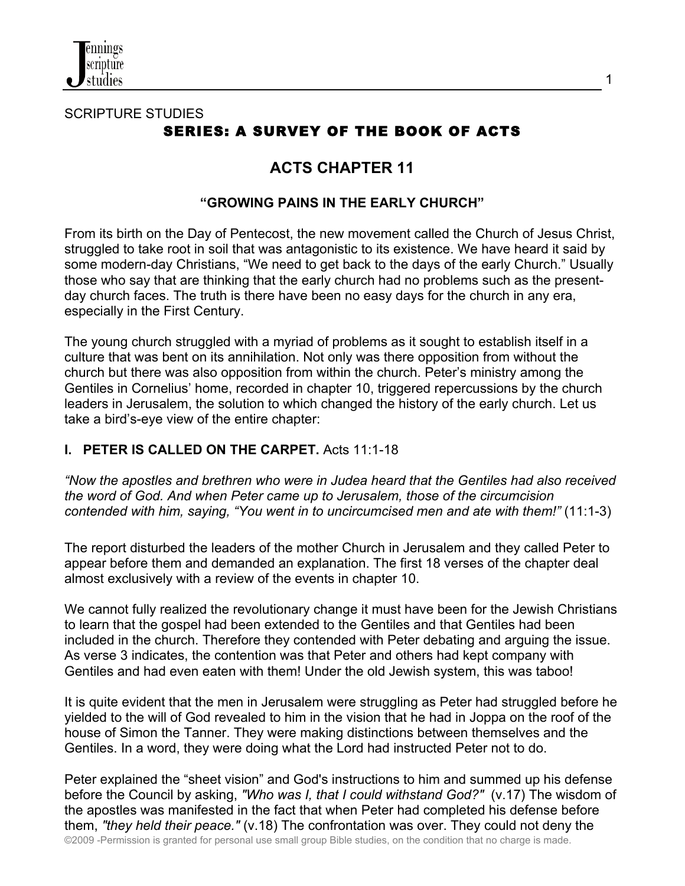

# SCRIPTURE STUDIES SERIES: A SURVEY OF THE BOOK OF ACTS

# **ACTS CHAPTER 11**

### **"GROWING PAINS IN THE EARLY CHURCH"**

From its birth on the Day of Pentecost, the new movement called the Church of Jesus Christ, struggled to take root in soil that was antagonistic to its existence. We have heard it said by some modern-day Christians, "We need to get back to the days of the early Church." Usually those who say that are thinking that the early church had no problems such as the presentday church faces. The truth is there have been no easy days for the church in any era, especially in the First Century.

The young church struggled with a myriad of problems as it sought to establish itself in a culture that was bent on its annihilation. Not only was there opposition from without the church but there was also opposition from within the church. Peter's ministry among the Gentiles in Cornelius' home, recorded in chapter 10, triggered repercussions by the church leaders in Jerusalem, the solution to which changed the history of the early church. Let us take a bird's-eye view of the entire chapter:

### **I. PETER IS CALLED ON THE CARPET.** Acts 11:1-18

*"Now the apostles and brethren who were in Judea heard that the Gentiles had also received the word of God. And when Peter came up to Jerusalem, those of the circumcision contended with him, saying, "You went in to uncircumcised men and ate with them!"* (11:1-3)

The report disturbed the leaders of the mother Church in Jerusalem and they called Peter to appear before them and demanded an explanation. The first 18 verses of the chapter deal almost exclusively with a review of the events in chapter 10.

We cannot fully realized the revolutionary change it must have been for the Jewish Christians to learn that the gospel had been extended to the Gentiles and that Gentiles had been included in the church. Therefore they contended with Peter debating and arguing the issue. As verse 3 indicates, the contention was that Peter and others had kept company with Gentiles and had even eaten with them! Under the old Jewish system, this was taboo!

It is quite evident that the men in Jerusalem were struggling as Peter had struggled before he yielded to the will of God revealed to him in the vision that he had in Joppa on the roof of the house of Simon the Tanner. They were making distinctions between themselves and the Gentiles. In a word, they were doing what the Lord had instructed Peter not to do.

©2009 -Permission is granted for personal use small group Bible studies, on the condition that no charge is made. Peter explained the "sheet vision" and God's instructions to him and summed up his defense before the Council by asking, *"Who was I, that I could withstand God?"* (v.17) The wisdom of the apostles was manifested in the fact that when Peter had completed his defense before them, *"they held their peace."* (v.18) The confrontation was over. They could not deny the

1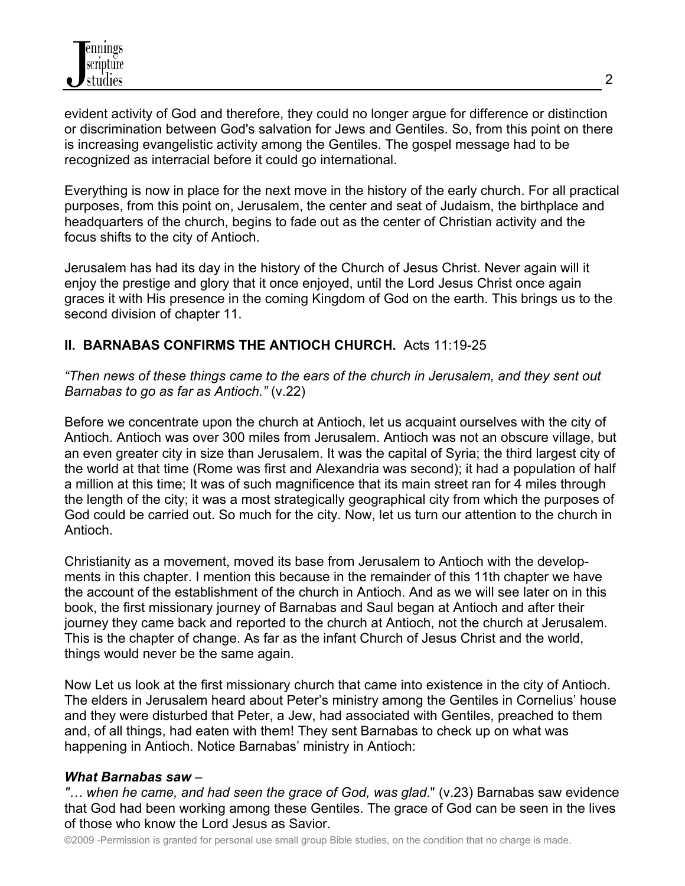evident activity of God and therefore, they could no longer argue for difference or distinction or discrimination between God's salvation for Jews and Gentiles. So, from this point on there is increasing evangelistic activity among the Gentiles. The gospel message had to be recognized as interracial before it could go international.

Everything is now in place for the next move in the history of the early church. For all practical purposes, from this point on, Jerusalem, the center and seat of Judaism, the birthplace and headquarters of the church, begins to fade out as the center of Christian activity and the focus shifts to the city of Antioch.

Jerusalem has had its day in the history of the Church of Jesus Christ. Never again will it enjoy the prestige and glory that it once enjoyed, until the Lord Jesus Christ once again graces it with His presence in the coming Kingdom of God on the earth. This brings us to the second division of chapter 11.

### **II. BARNABAS CONFIRMS THE ANTIOCH CHURCH.** Acts 11:19-25

*"Then news of these things came to the ears of the church in Jerusalem, and they sent out Barnabas to go as far as Antioch."* (v.22)

Before we concentrate upon the church at Antioch, let us acquaint ourselves with the city of Antioch. Antioch was over 300 miles from Jerusalem. Antioch was not an obscure village, but an even greater city in size than Jerusalem. It was the capital of Syria; the third largest city of the world at that time (Rome was first and Alexandria was second); it had a population of half a million at this time; It was of such magnificence that its main street ran for 4 miles through the length of the city; it was a most strategically geographical city from which the purposes of God could be carried out. So much for the city. Now, let us turn our attention to the church in Antioch.

Christianity as a movement, moved its base from Jerusalem to Antioch with the developments in this chapter. I mention this because in the remainder of this 11th chapter we have the account of the establishment of the church in Antioch. And as we will see later on in this book, the first missionary journey of Barnabas and Saul began at Antioch and after their journey they came back and reported to the church at Antioch, not the church at Jerusalem. This is the chapter of change. As far as the infant Church of Jesus Christ and the world, things would never be the same again.

Now Let us look at the first missionary church that came into existence in the city of Antioch. The elders in Jerusalem heard about Peter's ministry among the Gentiles in Cornelius' house and they were disturbed that Peter, a Jew, had associated with Gentiles, preached to them and, of all things, had eaten with them! They sent Barnabas to check up on what was happening in Antioch. Notice Barnabas' ministry in Antioch:

#### *What Barnabas saw* –

*"… when he came, and had seen the grace of God, was glad*." (v.23) Barnabas saw evidence that God had been working among these Gentiles. The grace of God can be seen in the lives of those who know the Lord Jesus as Savior.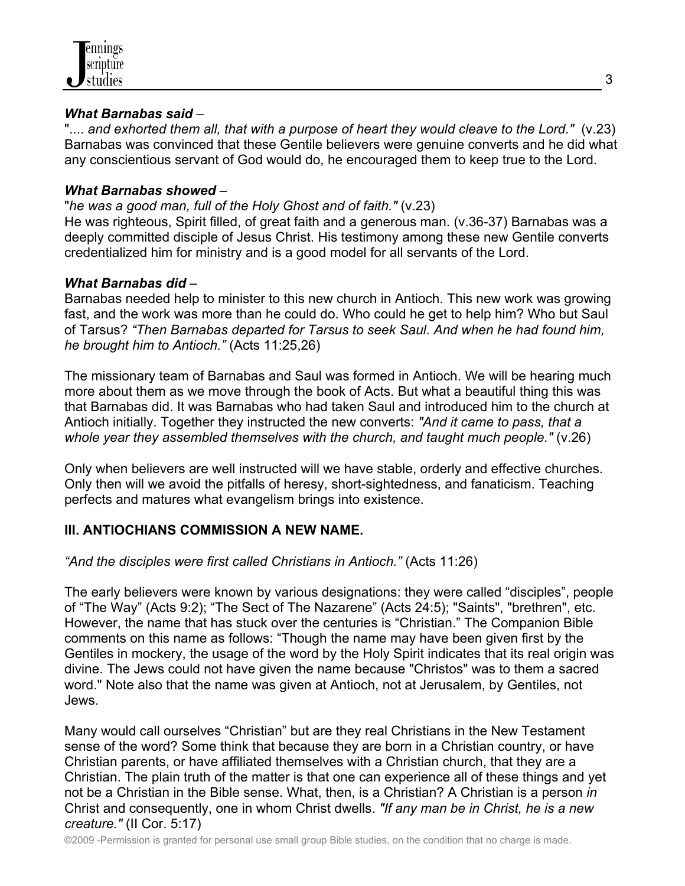

#### *What Barnabas said* –

".... *and exhorted them all, that with a purpose of heart they would cleave to the Lord."* (v.23) Barnabas was convinced that these Gentile believers were genuine converts and he did what any conscientious servant of God would do, he encouraged them to keep true to the Lord.

#### *What Barnabas showed* –

#### "*he was a good man, full of the Holy Ghost and of faith."* (v.23)

He was righteous, Spirit filled, of great faith and a generous man. (v.36-37) Barnabas was a deeply committed disciple of Jesus Christ. His testimony among these new Gentile converts credentialized him for ministry and is a good model for all servants of the Lord.

#### *What Barnabas did* –

Barnabas needed help to minister to this new church in Antioch. This new work was growing fast, and the work was more than he could do. Who could he get to help him? Who but Saul of Tarsus? *"Then Barnabas departed for Tarsus to seek Saul. And when he had found him, he brought him to Antioch."* (Acts 11:25,26)

The missionary team of Barnabas and Saul was formed in Antioch. We will be hearing much more about them as we move through the book of Acts. But what a beautiful thing this was that Barnabas did. It was Barnabas who had taken Saul and introduced him to the church at Antioch initially. Together they instructed the new converts: *"And it came to pass, that a whole year they assembled themselves with the church, and taught much people."* (v.26)

Only when believers are well instructed will we have stable, orderly and effective churches. Only then will we avoid the pitfalls of heresy, short-sightedness, and fanaticism. Teaching perfects and matures what evangelism brings into existence.

### **III. ANTIOCHIANS COMMISSION A NEW NAME.**

#### *"And the disciples were first called Christians in Antioch."* (Acts 11:26)

The early believers were known by various designations: they were called "disciples", people of "The Way" (Acts 9:2); "The Sect of The Nazarene" (Acts 24:5); "Saints", "brethren", etc. However, the name that has stuck over the centuries is "Christian." The Companion Bible comments on this name as follows: "Though the name may have been given first by the Gentiles in mockery, the usage of the word by the Holy Spirit indicates that its real origin was divine. The Jews could not have given the name because "Christos" was to them a sacred word." Note also that the name was given at Antioch, not at Jerusalem, by Gentiles, not Jews.

Many would call ourselves "Christian" but are they real Christians in the New Testament sense of the word? Some think that because they are born in a Christian country, or have Christian parents, or have affiliated themselves with a Christian church, that they are a Christian. The plain truth of the matter is that one can experience all of these things and yet not be a Christian in the Bible sense. What, then, is a Christian? A Christian is a person *in* Christ and consequently, one in whom Christ dwells. *"If any man be in Christ, he is a new creature."* (II Cor. 5:17)